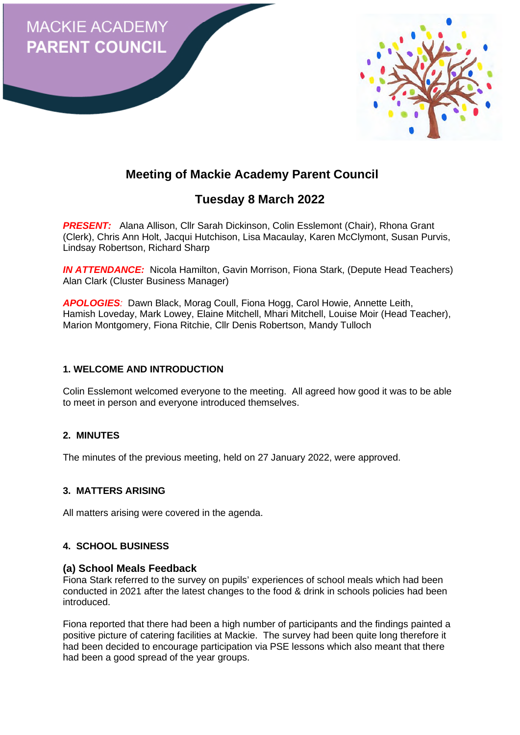



# **Meeting of Mackie Academy Parent Council**

# **Tuesday 8 March 2022**

*PRESENT:* Alana Allison, Cllr Sarah Dickinson, Colin Esslemont (Chair), Rhona Grant (Clerk), Chris Ann Holt, Jacqui Hutchison, Lisa Macaulay, Karen McClymont, Susan Purvis, Lindsay Robertson, Richard Sharp

**IN ATTENDANCE:** Nicola Hamilton, Gavin Morrison, Fiona Stark, (Depute Head Teachers) Alan Clark (Cluster Business Manager)

*APOLOGIES:* Dawn Black, Morag Coull, Fiona Hogg, Carol Howie, Annette Leith, Hamish Loveday, Mark Lowey, Elaine Mitchell, Mhari Mitchell, Louise Moir (Head Teacher), Marion Montgomery, Fiona Ritchie, Cllr Denis Robertson, Mandy Tulloch

# **1. WELCOME AND INTRODUCTION**

Colin Esslemont welcomed everyone to the meeting. All agreed how good it was to be able to meet in person and everyone introduced themselves.

# **2. MINUTES**

The minutes of the previous meeting, held on 27 January 2022, were approved.

## **3. MATTERS ARISING**

All matters arising were covered in the agenda.

## **4. SCHOOL BUSINESS**

## **(a) School Meals Feedback**

Fiona Stark referred to the survey on pupils' experiences of school meals which had been conducted in 2021 after the latest changes to the food & drink in schools policies had been introduced.

Fiona reported that there had been a high number of participants and the findings painted a positive picture of catering facilities at Mackie. The survey had been quite long therefore it had been decided to encourage participation via PSE lessons which also meant that there had been a good spread of the year groups.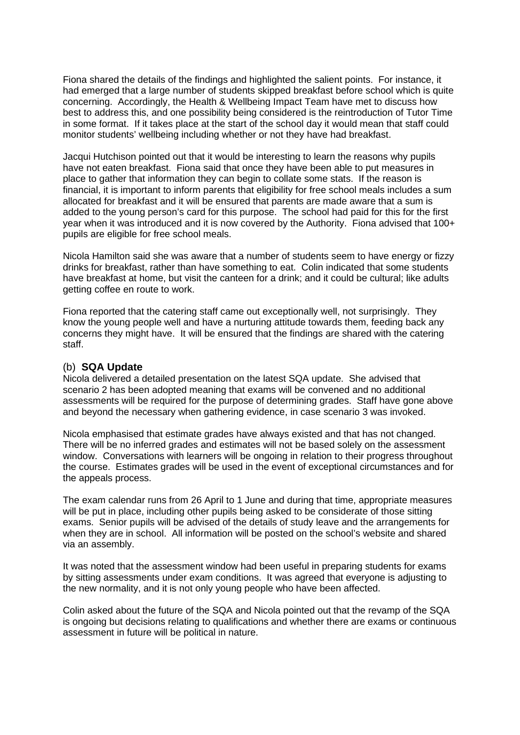Fiona shared the details of the findings and highlighted the salient points. For instance, it had emerged that a large number of students skipped breakfast before school which is quite concerning. Accordingly, the Health & Wellbeing Impact Team have met to discuss how best to address this, and one possibility being considered is the reintroduction of Tutor Time in some format. If it takes place at the start of the school day it would mean that staff could monitor students' wellbeing including whether or not they have had breakfast.

Jacqui Hutchison pointed out that it would be interesting to learn the reasons why pupils have not eaten breakfast. Fiona said that once they have been able to put measures in place to gather that information they can begin to collate some stats. If the reason is financial, it is important to inform parents that eligibility for free school meals includes a sum allocated for breakfast and it will be ensured that parents are made aware that a sum is added to the young person's card for this purpose. The school had paid for this for the first year when it was introduced and it is now covered by the Authority. Fiona advised that 100+ pupils are eligible for free school meals.

Nicola Hamilton said she was aware that a number of students seem to have energy or fizzy drinks for breakfast, rather than have something to eat. Colin indicated that some students have breakfast at home, but visit the canteen for a drink; and it could be cultural; like adults getting coffee en route to work.

Fiona reported that the catering staff came out exceptionally well, not surprisingly. They know the young people well and have a nurturing attitude towards them, feeding back any concerns they might have. It will be ensured that the findings are shared with the catering staff.

#### (b) **SQA Update**

Nicola delivered a detailed presentation on the latest SQA update. She advised that scenario 2 has been adopted meaning that exams will be convened and no additional assessments will be required for the purpose of determining grades. Staff have gone above and beyond the necessary when gathering evidence, in case scenario 3 was invoked.

Nicola emphasised that estimate grades have always existed and that has not changed. There will be no inferred grades and estimates will not be based solely on the assessment window. Conversations with learners will be ongoing in relation to their progress throughout the course. Estimates grades will be used in the event of exceptional circumstances and for the appeals process.

The exam calendar runs from 26 April to 1 June and during that time, appropriate measures will be put in place, including other pupils being asked to be considerate of those sitting exams. Senior pupils will be advised of the details of study leave and the arrangements for when they are in school. All information will be posted on the school's website and shared via an assembly.

It was noted that the assessment window had been useful in preparing students for exams by sitting assessments under exam conditions. It was agreed that everyone is adjusting to the new normality, and it is not only young people who have been affected.

Colin asked about the future of the SQA and Nicola pointed out that the revamp of the SQA is ongoing but decisions relating to qualifications and whether there are exams or continuous assessment in future will be political in nature.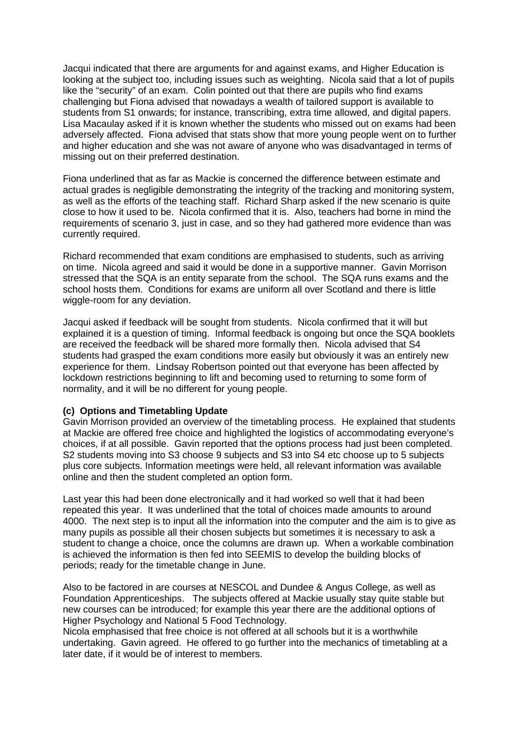Jacqui indicated that there are arguments for and against exams, and Higher Education is looking at the subject too, including issues such as weighting. Nicola said that a lot of pupils like the "security" of an exam. Colin pointed out that there are pupils who find exams challenging but Fiona advised that nowadays a wealth of tailored support is available to students from S1 onwards; for instance, transcribing, extra time allowed, and digital papers. Lisa Macaulay asked if it is known whether the students who missed out on exams had been adversely affected. Fiona advised that stats show that more young people went on to further and higher education and she was not aware of anyone who was disadvantaged in terms of missing out on their preferred destination.

Fiona underlined that as far as Mackie is concerned the difference between estimate and actual grades is negligible demonstrating the integrity of the tracking and monitoring system, as well as the efforts of the teaching staff. Richard Sharp asked if the new scenario is quite close to how it used to be. Nicola confirmed that it is. Also, teachers had borne in mind the requirements of scenario 3, just in case, and so they had gathered more evidence than was currently required.

Richard recommended that exam conditions are emphasised to students, such as arriving on time. Nicola agreed and said it would be done in a supportive manner. Gavin Morrison stressed that the SQA is an entity separate from the school. The SQA runs exams and the school hosts them. Conditions for exams are uniform all over Scotland and there is little wiggle-room for any deviation.

Jacqui asked if feedback will be sought from students. Nicola confirmed that it will but explained it is a question of timing. Informal feedback is ongoing but once the SQA booklets are received the feedback will be shared more formally then. Nicola advised that S4 students had grasped the exam conditions more easily but obviously it was an entirely new experience for them. Lindsay Robertson pointed out that everyone has been affected by lockdown restrictions beginning to lift and becoming used to returning to some form of normality, and it will be no different for young people.

## **(c) Options and Timetabling Update**

Gavin Morrison provided an overview of the timetabling process. He explained that students at Mackie are offered free choice and highlighted the logistics of accommodating everyone's choices, if at all possible. Gavin reported that the options process had just been completed. S2 students moving into S3 choose 9 subjects and S3 into S4 etc choose up to 5 subjects plus core subjects. Information meetings were held, all relevant information was available online and then the student completed an option form.

Last year this had been done electronically and it had worked so well that it had been repeated this year. It was underlined that the total of choices made amounts to around 4000. The next step is to input all the information into the computer and the aim is to give as many pupils as possible all their chosen subjects but sometimes it is necessary to ask a student to change a choice, once the columns are drawn up. When a workable combination is achieved the information is then fed into SEEMIS to develop the building blocks of periods; ready for the timetable change in June.

Also to be factored in are courses at NESCOL and Dundee & Angus College, as well as Foundation Apprenticeships. The subjects offered at Mackie usually stay quite stable but new courses can be introduced; for example this year there are the additional options of Higher Psychology and National 5 Food Technology.

Nicola emphasised that free choice is not offered at all schools but it is a worthwhile undertaking. Gavin agreed. He offered to go further into the mechanics of timetabling at a later date, if it would be of interest to members.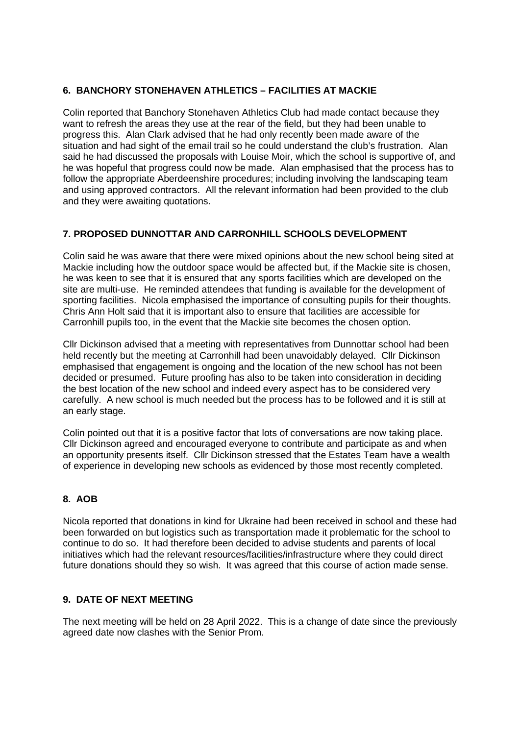# **6. BANCHORY STONEHAVEN ATHLETICS – FACILITIES AT MACKIE**

Colin reported that Banchory Stonehaven Athletics Club had made contact because they want to refresh the areas they use at the rear of the field, but they had been unable to progress this. Alan Clark advised that he had only recently been made aware of the situation and had sight of the email trail so he could understand the club's frustration. Alan said he had discussed the proposals with Louise Moir, which the school is supportive of, and he was hopeful that progress could now be made. Alan emphasised that the process has to follow the appropriate Aberdeenshire procedures; including involving the landscaping team and using approved contractors. All the relevant information had been provided to the club and they were awaiting quotations.

# **7. PROPOSED DUNNOTTAR AND CARRONHILL SCHOOLS DEVELOPMENT**

Colin said he was aware that there were mixed opinions about the new school being sited at Mackie including how the outdoor space would be affected but, if the Mackie site is chosen, he was keen to see that it is ensured that any sports facilities which are developed on the site are multi-use. He reminded attendees that funding is available for the development of sporting facilities. Nicola emphasised the importance of consulting pupils for their thoughts. Chris Ann Holt said that it is important also to ensure that facilities are accessible for Carronhill pupils too, in the event that the Mackie site becomes the chosen option.

Cllr Dickinson advised that a meeting with representatives from Dunnottar school had been held recently but the meeting at Carronhill had been unavoidably delayed. Cllr Dickinson emphasised that engagement is ongoing and the location of the new school has not been decided or presumed. Future proofing has also to be taken into consideration in deciding the best location of the new school and indeed every aspect has to be considered very carefully. A new school is much needed but the process has to be followed and it is still at an early stage.

Colin pointed out that it is a positive factor that lots of conversations are now taking place. Cllr Dickinson agreed and encouraged everyone to contribute and participate as and when an opportunity presents itself. Cllr Dickinson stressed that the Estates Team have a wealth of experience in developing new schools as evidenced by those most recently completed.

## **8. AOB**

Nicola reported that donations in kind for Ukraine had been received in school and these had been forwarded on but logistics such as transportation made it problematic for the school to continue to do so. It had therefore been decided to advise students and parents of local initiatives which had the relevant resources/facilities/infrastructure where they could direct future donations should they so wish. It was agreed that this course of action made sense.

## **9. DATE OF NEXT MEETING**

The next meeting will be held on 28 April 2022. This is a change of date since the previously agreed date now clashes with the Senior Prom.